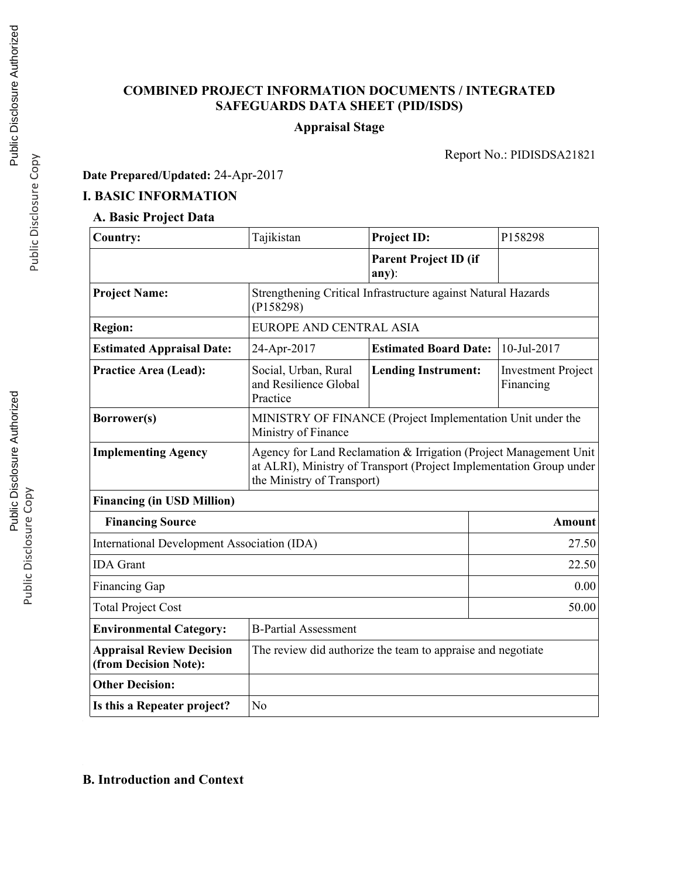# **COMBINED PROJECT INFORMATION DOCUMENTS / INTEGRATED SAFEGUARDS DATA SHEET (PID/ISDS)**

# **Appraisal Stage**

Report No.: PIDISDSA21821

# **Date Prepared/Updated:** 24-Apr-2017

# **I. BASIC INFORMATION**

# **A. Basic Project Data**

| Country:                                                  | Tajikistan                                                                                                                                                             | <b>Project ID:</b>                                            | P158298                                |  |
|-----------------------------------------------------------|------------------------------------------------------------------------------------------------------------------------------------------------------------------------|---------------------------------------------------------------|----------------------------------------|--|
|                                                           |                                                                                                                                                                        | <b>Parent Project ID (if</b><br>$any)$ :                      |                                        |  |
| <b>Project Name:</b>                                      | (P158298)                                                                                                                                                              | Strengthening Critical Infrastructure against Natural Hazards |                                        |  |
| <b>Region:</b>                                            | EUROPE AND CENTRAL ASIA                                                                                                                                                |                                                               |                                        |  |
| <b>Estimated Appraisal Date:</b>                          | 24-Apr-2017                                                                                                                                                            | <b>Estimated Board Date:</b>                                  | 10-Jul-2017                            |  |
| <b>Practice Area (Lead):</b>                              | Social, Urban, Rural<br>and Resilience Global<br>Practice                                                                                                              | <b>Lending Instrument:</b>                                    | <b>Investment Project</b><br>Financing |  |
| Borrower(s)                                               | MINISTRY OF FINANCE (Project Implementation Unit under the<br>Ministry of Finance                                                                                      |                                                               |                                        |  |
| <b>Implementing Agency</b>                                | Agency for Land Reclamation & Irrigation (Project Management Unit<br>at ALRI), Ministry of Transport (Project Implementation Group under<br>the Ministry of Transport) |                                                               |                                        |  |
| <b>Financing (in USD Million)</b>                         |                                                                                                                                                                        |                                                               |                                        |  |
| <b>Financing Source</b>                                   |                                                                                                                                                                        |                                                               | Amount                                 |  |
| International Development Association (IDA)               | 27.50                                                                                                                                                                  |                                                               |                                        |  |
| <b>IDA</b> Grant                                          | 22.50                                                                                                                                                                  |                                                               |                                        |  |
| <b>Financing Gap</b>                                      | 0.00                                                                                                                                                                   |                                                               |                                        |  |
| <b>Total Project Cost</b>                                 | 50.00                                                                                                                                                                  |                                                               |                                        |  |
| <b>Environmental Category:</b>                            | <b>B-Partial Assessment</b>                                                                                                                                            |                                                               |                                        |  |
| <b>Appraisal Review Decision</b><br>(from Decision Note): | The review did authorize the team to appraise and negotiate                                                                                                            |                                                               |                                        |  |
| <b>Other Decision:</b>                                    |                                                                                                                                                                        |                                                               |                                        |  |
| Is this a Repeater project?                               | N <sub>0</sub>                                                                                                                                                         |                                                               |                                        |  |

# **B. Introduction and Context**

Public Disclosure Copy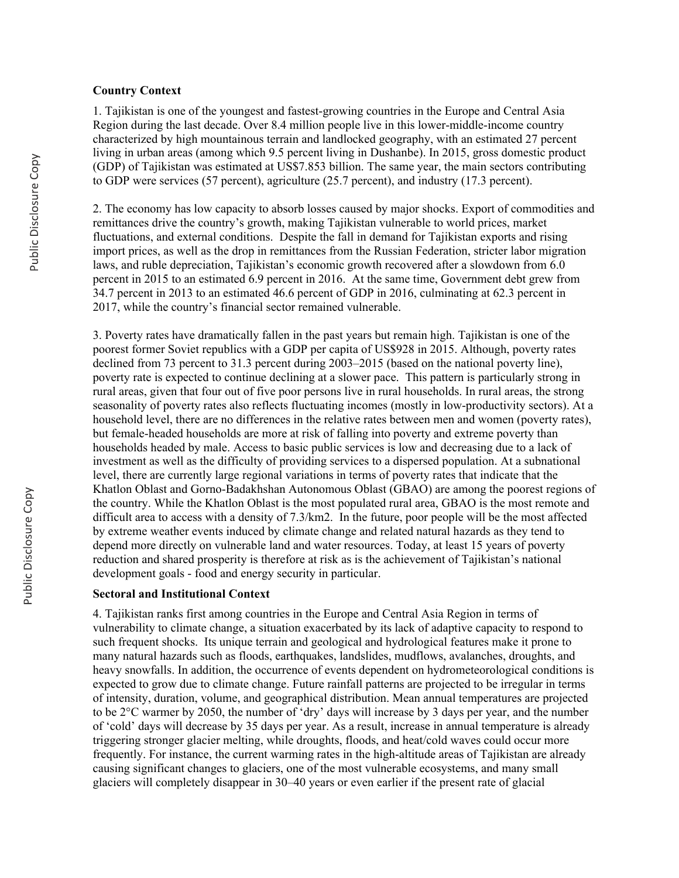#### **Country Context**

1. Tajikistan is one of the youngest and fastest-growing countries in the Europe and Central Asia Region during the last decade. Over 8.4 million people live in this lower-middle-income country characterized by high mountainous terrain and landlocked geography, with an estimated 27 percent living in urban areas (among which 9.5 percent living in Dushanbe). In 2015, gross domestic product (GDP) of Tajikistan was estimated at US\$7.853 billion. The same year, the main sectors contributing to GDP were services (57 percent), agriculture (25.7 percent), and industry (17.3 percent).

2. The economy has low capacity to absorb losses caused by major shocks. Export of commodities and remittances drive the country's growth, making Tajikistan vulnerable to world prices, market fluctuations, and external conditions. Despite the fall in demand for Tajikistan exports and rising import prices, as well as the drop in remittances from the Russian Federation, stricter labor migration laws, and ruble depreciation, Tajikistan's economic growth recovered after a slowdown from 6.0 percent in 2015 to an estimated 6.9 percent in 2016. At the same time, Government debt grew from 34.7 percent in 2013 to an estimated 46.6 percent of GDP in 2016, culminating at 62.3 percent in 2017, while the country's financial sector remained vulnerable.

3. Poverty rates have dramatically fallen in the past years but remain high. Tajikistan is one of the poorest former Soviet republics with a GDP per capita of US\$928 in 2015. Although, poverty rates declined from 73 percent to 31.3 percent during 2003–2015 (based on the national poverty line), poverty rate is expected to continue declining at a slower pace. This pattern is particularly strong in rural areas, given that four out of five poor persons live in rural households. In rural areas, the strong seasonality of poverty rates also reflects fluctuating incomes (mostly in low-productivity sectors). At a household level, there are no differences in the relative rates between men and women (poverty rates), but female-headed households are more at risk of falling into poverty and extreme poverty than households headed by male. Access to basic public services is low and decreasing due to a lack of investment as well as the difficulty of providing services to a dispersed population. At a subnational level, there are currently large regional variations in terms of poverty rates that indicate that the Khatlon Oblast and Gorno-Badakhshan Autonomous Oblast (GBAO) are among the poorest regions of the country. While the Khatlon Oblast is the most populated rural area, GBAO is the most remote and difficult area to access with a density of 7.3/km2. In the future, poor people will be the most affected by extreme weather events induced by climate change and related natural hazards as they tend to depend more directly on vulnerable land and water resources. Today, at least 15 years of poverty reduction and shared prosperity is therefore at risk as is the achievement of Tajikistan's national development goals - food and energy security in particular.

#### **Sectoral and Institutional Context**

4. Tajikistan ranks first among countries in the Europe and Central Asia Region in terms of vulnerability to climate change, a situation exacerbated by its lack of adaptive capacity to respond to such frequent shocks. Its unique terrain and geological and hydrological features make it prone to many natural hazards such as floods, earthquakes, landslides, mudflows, avalanches, droughts, and heavy snowfalls. In addition, the occurrence of events dependent on hydrometeorological conditions is expected to grow due to climate change. Future rainfall patterns are projected to be irregular in terms of intensity, duration, volume, and geographical distribution. Mean annual temperatures are projected to be 2°C warmer by 2050, the number of 'dry' days will increase by 3 days per year, and the number of 'cold' days will decrease by 35 days per year. As a result, increase in annual temperature is already triggering stronger glacier melting, while droughts, floods, and heat/cold waves could occur more frequently. For instance, the current warming rates in the high-altitude areas of Tajikistan are already causing significant changes to glaciers, one of the most vulnerable ecosystems, and many small glaciers will completely disappear in 30–40 years or even earlier if the present rate of glacial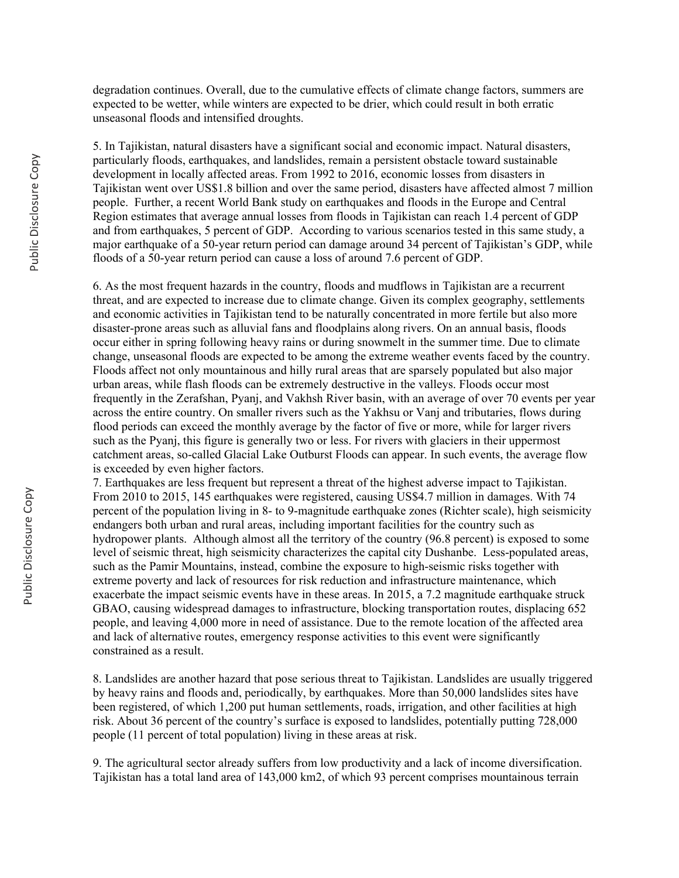degradation continues. Overall, due to the cumulative effects of climate change factors, summers are expected to be wetter, while winters are expected to be drier, which could result in both erratic unseasonal floods and intensified droughts.

5. In Tajikistan, natural disasters have a significant social and economic impact. Natural disasters, particularly floods, earthquakes, and landslides, remain a persistent obstacle toward sustainable development in locally affected areas. From 1992 to 2016, economic losses from disasters in Tajikistan went over US\$1.8 billion and over the same period, disasters have affected almost 7 million people. Further, a recent World Bank study on earthquakes and floods in the Europe and Central Region estimates that average annual losses from floods in Tajikistan can reach 1.4 percent of GDP and from earthquakes, 5 percent of GDP. According to various scenarios tested in this same study, a major earthquake of a 50-year return period can damage around 34 percent of Tajikistan's GDP, while floods of a 50-year return period can cause a loss of around 7.6 percent of GDP.

6. As the most frequent hazards in the country, floods and mudflows in Tajikistan are a recurrent threat, and are expected to increase due to climate change. Given its complex geography, settlements and economic activities in Tajikistan tend to be naturally concentrated in more fertile but also more disaster-prone areas such as alluvial fans and floodplains along rivers. On an annual basis, floods occur either in spring following heavy rains or during snowmelt in the summer time. Due to climate change, unseasonal floods are expected to be among the extreme weather events faced by the country. Floods affect not only mountainous and hilly rural areas that are sparsely populated but also major urban areas, while flash floods can be extremely destructive in the valleys. Floods occur most frequently in the Zerafshan, Pyanj, and Vakhsh River basin, with an average of over 70 events per year across the entire country. On smaller rivers such as the Yakhsu or Vanj and tributaries, flows during flood periods can exceed the monthly average by the factor of five or more, while for larger rivers such as the Pyanj, this figure is generally two or less. For rivers with glaciers in their uppermost catchment areas, so-called Glacial Lake Outburst Floods can appear. In such events, the average flow is exceeded by even higher factors.

7. Earthquakes are less frequent but represent a threat of the highest adverse impact to Tajikistan. From 2010 to 2015, 145 earthquakes were registered, causing US\$4.7 million in damages. With 74 percent of the population living in 8- to 9-magnitude earthquake zones (Richter scale), high seismicity endangers both urban and rural areas, including important facilities for the country such as hydropower plants. Although almost all the territory of the country (96.8 percent) is exposed to some level of seismic threat, high seismicity characterizes the capital city Dushanbe. Less-populated areas, such as the Pamir Mountains, instead, combine the exposure to high-seismic risks together with extreme poverty and lack of resources for risk reduction and infrastructure maintenance, which exacerbate the impact seismic events have in these areas. In 2015, a 7.2 magnitude earthquake struck GBAO, causing widespread damages to infrastructure, blocking transportation routes, displacing 652 people, and leaving 4,000 more in need of assistance. Due to the remote location of the affected area and lack of alternative routes, emergency response activities to this event were significantly constrained as a result.

8. Landslides are another hazard that pose serious threat to Tajikistan. Landslides are usually triggered by heavy rains and floods and, periodically, by earthquakes. More than 50,000 landslides sites have been registered, of which 1,200 put human settlements, roads, irrigation, and other facilities at high risk. About 36 percent of the country's surface is exposed to landslides, potentially putting 728,000 people (11 percent of total population) living in these areas at risk.

9. The agricultural sector already suffers from low productivity and a lack of income diversification. Tajikistan has a total land area of 143,000 km2, of which 93 percent comprises mountainous terrain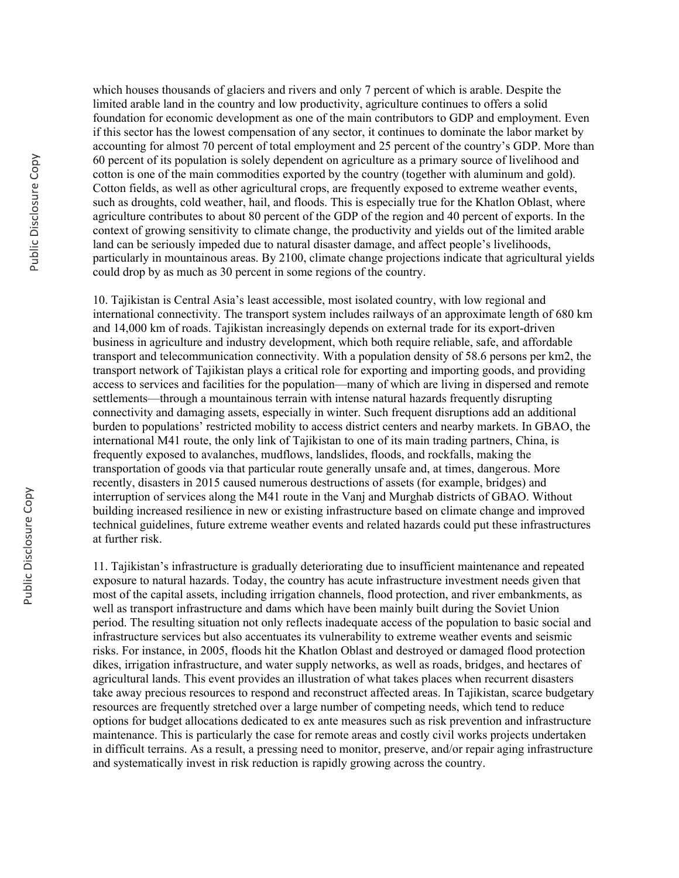which houses thousands of glaciers and rivers and only 7 percent of which is arable. Despite the limited arable land in the country and low productivity, agriculture continues to offers a solid foundation for economic development as one of the main contributors to GDP and employment. Even if this sector has the lowest compensation of any sector, it continues to dominate the labor market by accounting for almost 70 percent of total employment and 25 percent of the country's GDP. More than 60 percent of its population is solely dependent on agriculture as a primary source of livelihood and cotton is one of the main commodities exported by the country (together with aluminum and gold). Cotton fields, as well as other agricultural crops, are frequently exposed to extreme weather events, such as droughts, cold weather, hail, and floods. This is especially true for the Khatlon Oblast, where agriculture contributes to about 80 percent of the GDP of the region and 40 percent of exports. In the context of growing sensitivity to climate change, the productivity and yields out of the limited arable land can be seriously impeded due to natural disaster damage, and affect people's livelihoods, particularly in mountainous areas. By 2100, climate change projections indicate that agricultural yields could drop by as much as 30 percent in some regions of the country.

10. Tajikistan is Central Asia's least accessible, most isolated country, with low regional and international connectivity. The transport system includes railways of an approximate length of 680 km and 14,000 km of roads. Tajikistan increasingly depends on external trade for its export-driven business in agriculture and industry development, which both require reliable, safe, and affordable transport and telecommunication connectivity. With a population density of 58.6 persons per km2, the transport network of Tajikistan plays a critical role for exporting and importing goods, and providing access to services and facilities for the population—many of which are living in dispersed and remote settlements—through a mountainous terrain with intense natural hazards frequently disrupting connectivity and damaging assets, especially in winter. Such frequent disruptions add an additional burden to populations' restricted mobility to access district centers and nearby markets. In GBAO, the international M41 route, the only link of Tajikistan to one of its main trading partners, China, is frequently exposed to avalanches, mudflows, landslides, floods, and rockfalls, making the transportation of goods via that particular route generally unsafe and, at times, dangerous. More recently, disasters in 2015 caused numerous destructions of assets (for example, bridges) and interruption of services along the M41 route in the Vanj and Murghab districts of GBAO. Without building increased resilience in new or existing infrastructure based on climate change and improved technical guidelines, future extreme weather events and related hazards could put these infrastructures at further risk.

11. Tajikistan's infrastructure is gradually deteriorating due to insufficient maintenance and repeated exposure to natural hazards. Today, the country has acute infrastructure investment needs given that most of the capital assets, including irrigation channels, flood protection, and river embankments, as well as transport infrastructure and dams which have been mainly built during the Soviet Union period. The resulting situation not only reflects inadequate access of the population to basic social and infrastructure services but also accentuates its vulnerability to extreme weather events and seismic risks. For instance, in 2005, floods hit the Khatlon Oblast and destroyed or damaged flood protection dikes, irrigation infrastructure, and water supply networks, as well as roads, bridges, and hectares of agricultural lands. This event provides an illustration of what takes places when recurrent disasters take away precious resources to respond and reconstruct affected areas. In Tajikistan, scarce budgetary resources are frequently stretched over a large number of competing needs, which tend to reduce options for budget allocations dedicated to ex ante measures such as risk prevention and infrastructure maintenance. This is particularly the case for remote areas and costly civil works projects undertaken in difficult terrains. As a result, a pressing need to monitor, preserve, and/or repair aging infrastructure and systematically invest in risk reduction is rapidly growing across the country.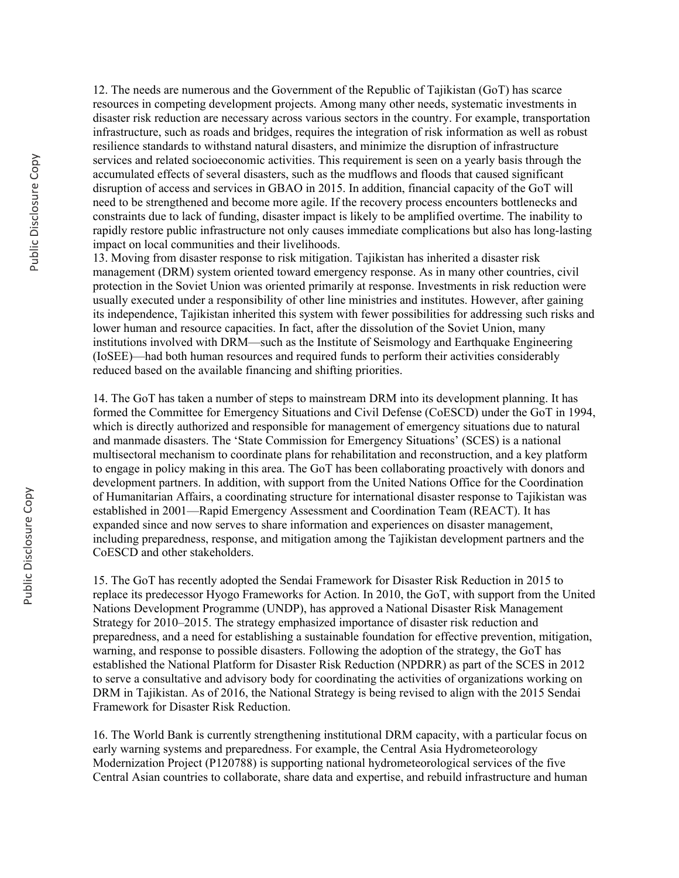12. The needs are numerous and the Government of the Republic of Tajikistan (GoT) has scarce resources in competing development projects. Among many other needs, systematic investments in disaster risk reduction are necessary across various sectors in the country. For example, transportation infrastructure, such as roads and bridges, requires the integration of risk information as well as robust resilience standards to withstand natural disasters, and minimize the disruption of infrastructure services and related socioeconomic activities. This requirement is seen on a yearly basis through the accumulated effects of several disasters, such as the mudflows and floods that caused significant disruption of access and services in GBAO in 2015. In addition, financial capacity of the GoT will need to be strengthened and become more agile. If the recovery process encounters bottlenecks and constraints due to lack of funding, disaster impact is likely to be amplified overtime. The inability to rapidly restore public infrastructure not only causes immediate complications but also has long-lasting impact on local communities and their livelihoods.

13. Moving from disaster response to risk mitigation. Tajikistan has inherited a disaster risk management (DRM) system oriented toward emergency response. As in many other countries, civil protection in the Soviet Union was oriented primarily at response. Investments in risk reduction were usually executed under a responsibility of other line ministries and institutes. However, after gaining its independence, Tajikistan inherited this system with fewer possibilities for addressing such risks and lower human and resource capacities. In fact, after the dissolution of the Soviet Union, many institutions involved with DRM—such as the Institute of Seismology and Earthquake Engineering (IoSEE)—had both human resources and required funds to perform their activities considerably reduced based on the available financing and shifting priorities.

14. The GoT has taken a number of steps to mainstream DRM into its development planning. It has formed the Committee for Emergency Situations and Civil Defense (CoESCD) under the GoT in 1994, which is directly authorized and responsible for management of emergency situations due to natural and manmade disasters. The 'State Commission for Emergency Situations' (SCES) is a national multisectoral mechanism to coordinate plans for rehabilitation and reconstruction, and a key platform to engage in policy making in this area. The GoT has been collaborating proactively with donors and development partners. In addition, with support from the United Nations Office for the Coordination of Humanitarian Affairs, a coordinating structure for international disaster response to Tajikistan was established in 2001—Rapid Emergency Assessment and Coordination Team (REACT). It has expanded since and now serves to share information and experiences on disaster management, including preparedness, response, and mitigation among the Tajikistan development partners and the CoESCD and other stakeholders.

15. The GoT has recently adopted the Sendai Framework for Disaster Risk Reduction in 2015 to replace its predecessor Hyogo Frameworks for Action. In 2010, the GoT, with support from the United Nations Development Programme (UNDP), has approved a National Disaster Risk Management Strategy for 2010–2015. The strategy emphasized importance of disaster risk reduction and preparedness, and a need for establishing a sustainable foundation for effective prevention, mitigation, warning, and response to possible disasters. Following the adoption of the strategy, the GoT has established the National Platform for Disaster Risk Reduction (NPDRR) as part of the SCES in 2012 to serve a consultative and advisory body for coordinating the activities of organizations working on DRM in Tajikistan. As of 2016, the National Strategy is being revised to align with the 2015 Sendai Framework for Disaster Risk Reduction.

16. The World Bank is currently strengthening institutional DRM capacity, with a particular focus on early warning systems and preparedness. For example, the Central Asia Hydrometeorology Modernization Project (P120788) is supporting national hydrometeorological services of the five Central Asian countries to collaborate, share data and expertise, and rebuild infrastructure and human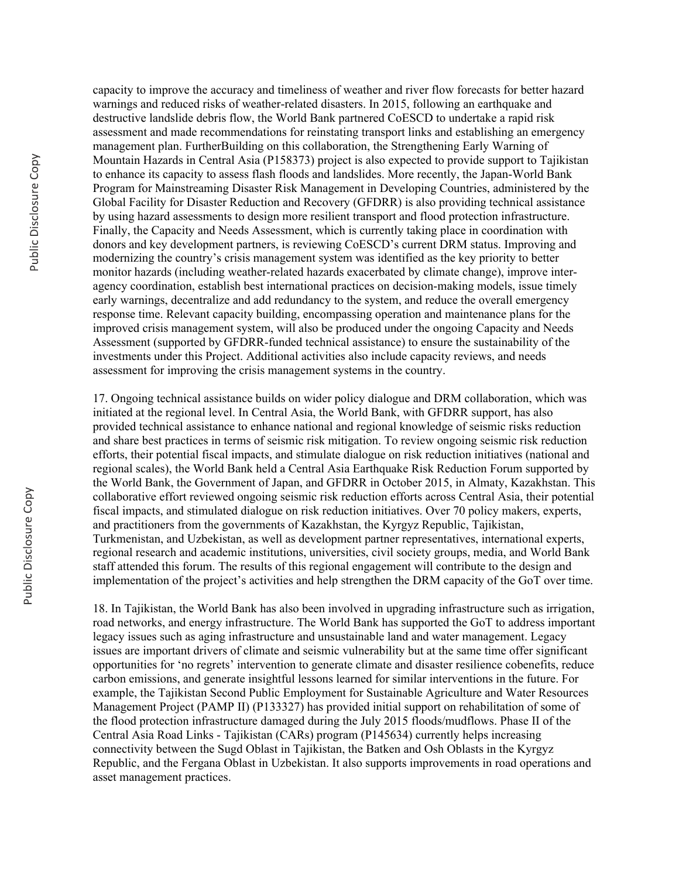capacity to improve the accuracy and timeliness of weather and river flow forecasts for better hazard warnings and reduced risks of weather-related disasters. In 2015, following an earthquake and destructive landslide debris flow, the World Bank partnered CoESCD to undertake a rapid risk assessment and made recommendations for reinstating transport links and establishing an emergency management plan. FurtherBuilding on this collaboration, the Strengthening Early Warning of Mountain Hazards in Central Asia (P158373) project is also expected to provide support to Tajikistan to enhance its capacity to assess flash floods and landslides. More recently, the Japan-World Bank Program for Mainstreaming Disaster Risk Management in Developing Countries, administered by the Global Facility for Disaster Reduction and Recovery (GFDRR) is also providing technical assistance by using hazard assessments to design more resilient transport and flood protection infrastructure. Finally, the Capacity and Needs Assessment, which is currently taking place in coordination with donors and key development partners, is reviewing CoESCD's current DRM status. Improving and modernizing the country's crisis management system was identified as the key priority to better monitor hazards (including weather-related hazards exacerbated by climate change), improve interagency coordination, establish best international practices on decision-making models, issue timely early warnings, decentralize and add redundancy to the system, and reduce the overall emergency response time. Relevant capacity building, encompassing operation and maintenance plans for the improved crisis management system, will also be produced under the ongoing Capacity and Needs Assessment (supported by GFDRR-funded technical assistance) to ensure the sustainability of the investments under this Project. Additional activities also include capacity reviews, and needs assessment for improving the crisis management systems in the country.

17. Ongoing technical assistance builds on wider policy dialogue and DRM collaboration, which was initiated at the regional level. In Central Asia, the World Bank, with GFDRR support, has also provided technical assistance to enhance national and regional knowledge of seismic risks reduction and share best practices in terms of seismic risk mitigation. To review ongoing seismic risk reduction efforts, their potential fiscal impacts, and stimulate dialogue on risk reduction initiatives (national and regional scales), the World Bank held a Central Asia Earthquake Risk Reduction Forum supported by the World Bank, the Government of Japan, and GFDRR in October 2015, in Almaty, Kazakhstan. This collaborative effort reviewed ongoing seismic risk reduction efforts across Central Asia, their potential fiscal impacts, and stimulated dialogue on risk reduction initiatives. Over 70 policy makers, experts, and practitioners from the governments of Kazakhstan, the Kyrgyz Republic, Tajikistan, Turkmenistan, and Uzbekistan, as well as development partner representatives, international experts, regional research and academic institutions, universities, civil society groups, media, and World Bank staff attended this forum. The results of this regional engagement will contribute to the design and implementation of the project's activities and help strengthen the DRM capacity of the GoT over time.

18. In Tajikistan, the World Bank has also been involved in upgrading infrastructure such as irrigation, road networks, and energy infrastructure. The World Bank has supported the GoT to address important legacy issues such as aging infrastructure and unsustainable land and water management. Legacy issues are important drivers of climate and seismic vulnerability but at the same time offer significant opportunities for 'no regrets' intervention to generate climate and disaster resilience cobenefits, reduce carbon emissions, and generate insightful lessons learned for similar interventions in the future. For example, the Tajikistan Second Public Employment for Sustainable Agriculture and Water Resources Management Project (PAMP II) (P133327) has provided initial support on rehabilitation of some of the flood protection infrastructure damaged during the July 2015 floods/mudflows. Phase II of the Central Asia Road Links - Tajikistan (CARs) program (P145634) currently helps increasing connectivity between the Sugd Oblast in Tajikistan, the Batken and Osh Oblasts in the Kyrgyz Republic, and the Fergana Oblast in Uzbekistan. It also supports improvements in road operations and asset management practices.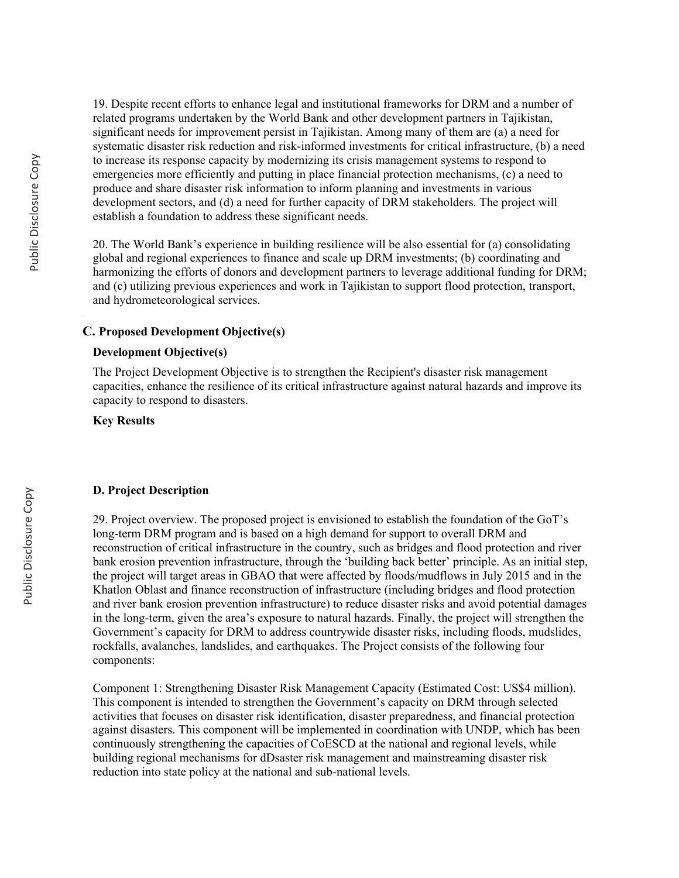19. Despite recent efforts to enhance legal and institutional frameworks for DRM and a number of related programs undertaken by the World Bank and other development partners in Tajikistan, significant needs for improvement persist in Tajikistan. Among many of them are (a) a need for systematic disaster risk reduction and risk-informed investments for critical infrastructure, (b) a need to increase its response capacity by modernizing its crisis management systems to respond to emergencies more efficiently and putting in place financial protection mechanisms, (c) a need to produce and share disaster risk information to inform planning and investments in various development sectors, and (d) a need for further capacity of DRM stakeholders. The project will establish a foundation to address these significant needs.

20. The World Bank's experience in building resilience will be also essential for (a) consolidating global and regional experiences to finance and scale up DRM investments; (b) coordinating and harmonizing the efforts of donors and development partners to leverage additional funding for DRM; and (c) utilizing previous experiences and work in Tajikistan to support flood protection, transport, and hydrometeorological services.

### **C. Proposed Development Objective(s)**

### **Development Objective(s)**

The Project Development Objective is to strengthen the Recipient's disaster risk management capacities, enhance the resilience of its critical infrastructure against natural hazards and improve its capacity to respond to disasters.

#### **Key Results**

#### **D. Project Description**

29. Project overview. The proposed project is envisioned to establish the foundation of the GoT's long-term DRM program and is based on a high demand for support to overall DRM and reconstruction of critical infrastructure in the country, such as bridges and flood protection and river bank erosion prevention infrastructure, through the 'building back better' principle. As an initial step, the project will target areas in GBAO that were affected by floods/mudflows in July 2015 and in the Khatlon Oblast and finance reconstruction of infrastructure (including bridges and flood protection and river bank erosion prevention infrastructure) to reduce disaster risks and avoid potential damages in the long-term, given the area's exposure to natural hazards. Finally, the project will strengthen the Government's capacity for DRM to address countrywide disaster risks, including floods, mudslides, rockfalls, avalanches, landslides, and earthquakes. The Project consists of the following four components:

Component 1: Strengthening Disaster Risk Management Capacity (Estimated Cost: US\$4 million). This component is intended to strengthen the Government's capacity on DRM through selected activities that focuses on disaster risk identification, disaster preparedness, and financial protection against disasters. This component will be implemented in coordination with UNDP, which has been continuously strengthening the capacities of CoESCD at the national and regional levels, while building regional mechanisms for dDsaster risk management and mainstreaming disaster risk reduction into state policy at the national and sub-national levels.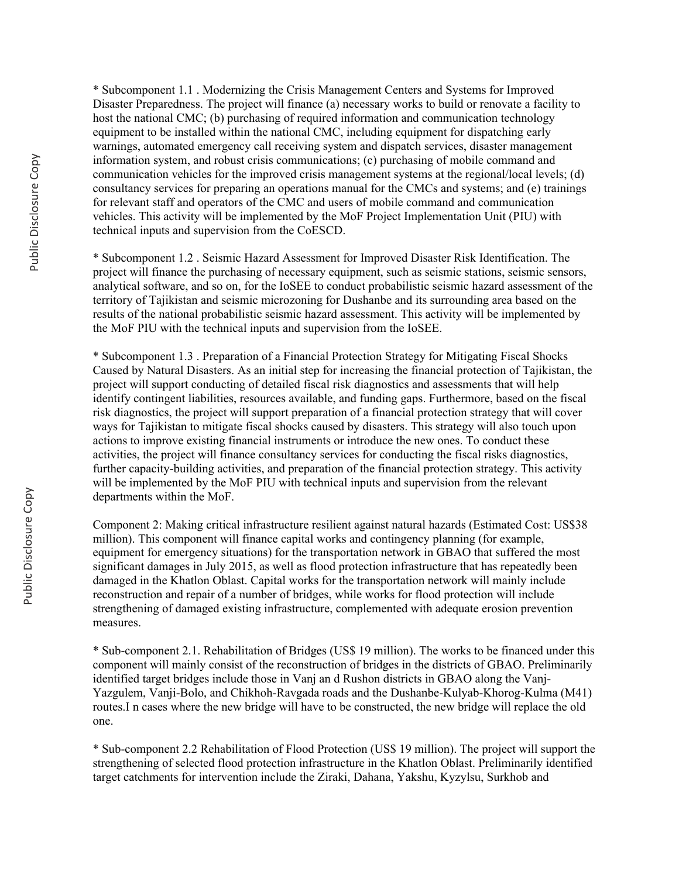\* Subcomponent 1.1 . Modernizing the Crisis Management Centers and Systems for Improved Disaster Preparedness. The project will finance (a) necessary works to build or renovate a facility to host the national CMC; (b) purchasing of required information and communication technology equipment to be installed within the national CMC, including equipment for dispatching early warnings, automated emergency call receiving system and dispatch services, disaster management information system, and robust crisis communications; (c) purchasing of mobile command and communication vehicles for the improved crisis management systems at the regional/local levels; (d) consultancy services for preparing an operations manual for the CMCs and systems; and (e) trainings for relevant staff and operators of the CMC and users of mobile command and communication vehicles. This activity will be implemented by the MoF Project Implementation Unit (PIU) with technical inputs and supervision from the CoESCD.

\* Subcomponent 1.2 . Seismic Hazard Assessment for Improved Disaster Risk Identification. The project will finance the purchasing of necessary equipment, such as seismic stations, seismic sensors, analytical software, and so on, for the IoSEE to conduct probabilistic seismic hazard assessment of the territory of Tajikistan and seismic microzoning for Dushanbe and its surrounding area based on the results of the national probabilistic seismic hazard assessment. This activity will be implemented by the MoF PIU with the technical inputs and supervision from the IoSEE.

\* Subcomponent 1.3 . Preparation of a Financial Protection Strategy for Mitigating Fiscal Shocks Caused by Natural Disasters. As an initial step for increasing the financial protection of Tajikistan, the project will support conducting of detailed fiscal risk diagnostics and assessments that will help identify contingent liabilities, resources available, and funding gaps. Furthermore, based on the fiscal risk diagnostics, the project will support preparation of a financial protection strategy that will cover ways for Tajikistan to mitigate fiscal shocks caused by disasters. This strategy will also touch upon actions to improve existing financial instruments or introduce the new ones. To conduct these activities, the project will finance consultancy services for conducting the fiscal risks diagnostics, further capacity-building activities, and preparation of the financial protection strategy. This activity will be implemented by the MoF PIU with technical inputs and supervision from the relevant departments within the MoF.

Component 2: Making critical infrastructure resilient against natural hazards (Estimated Cost: US\$38 million). This component will finance capital works and contingency planning (for example, equipment for emergency situations) for the transportation network in GBAO that suffered the most significant damages in July 2015, as well as flood protection infrastructure that has repeatedly been damaged in the Khatlon Oblast. Capital works for the transportation network will mainly include reconstruction and repair of a number of bridges, while works for flood protection will include strengthening of damaged existing infrastructure, complemented with adequate erosion prevention measures.

\* Sub-component 2.1. Rehabilitation of Bridges (US\$ 19 million). The works to be financed under this component will mainly consist of the reconstruction of bridges in the districts of GBAO. Preliminarily identified target bridges include those in Vanj an d Rushon districts in GBAO along the Vanj-Yazgulem, Vanji-Bolo, and Chikhoh-Ravgada roads and the Dushanbe-Kulyab-Khorog-Kulma (M41) routes.I n cases where the new bridge will have to be constructed, the new bridge will replace the old one.

\* Sub-component 2.2 Rehabilitation of Flood Protection (US\$ 19 million). The project will support the strengthening of selected flood protection infrastructure in the Khatlon Oblast. Preliminarily identified target catchments for intervention include the Ziraki, Dahana, Yakshu, Kyzylsu, Surkhob and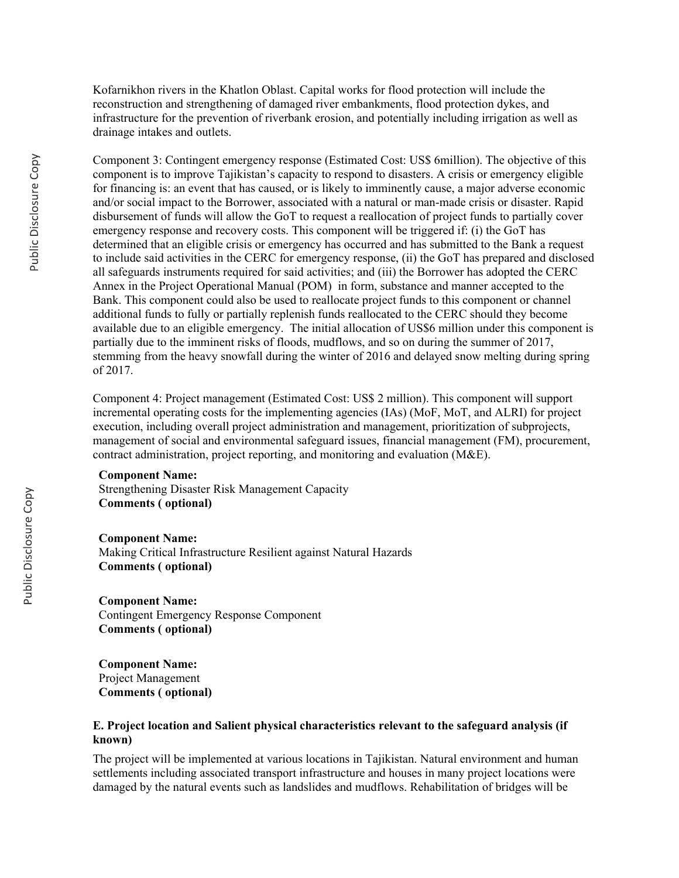Kofarnikhon rivers in the Khatlon Oblast. Capital works for flood protection will include the reconstruction and strengthening of damaged river embankments, flood protection dykes, and infrastructure for the prevention of riverbank erosion, and potentially including irrigation as well as drainage intakes and outlets.

Component 3: Contingent emergency response (Estimated Cost: US\$ 6million). The objective of this component is to improve Tajikistan's capacity to respond to disasters. A crisis or emergency eligible for financing is: an event that has caused, or is likely to imminently cause, a major adverse economic and/or social impact to the Borrower, associated with a natural or man-made crisis or disaster. Rapid disbursement of funds will allow the GoT to request a reallocation of project funds to partially cover emergency response and recovery costs. This component will be triggered if: (i) the GoT has determined that an eligible crisis or emergency has occurred and has submitted to the Bank a request to include said activities in the CERC for emergency response, (ii) the GoT has prepared and disclosed all safeguards instruments required for said activities; and (iii) the Borrower has adopted the CERC Annex in the Project Operational Manual (POM) in form, substance and manner accepted to the Bank. This component could also be used to reallocate project funds to this component or channel additional funds to fully or partially replenish funds reallocated to the CERC should they become available due to an eligible emergency. The initial allocation of US\$6 million under this component is partially due to the imminent risks of floods, mudflows, and so on during the summer of 2017, stemming from the heavy snowfall during the winter of 2016 and delayed snow melting during spring of 2017.

Component 4: Project management (Estimated Cost: US\$ 2 million). This component will support incremental operating costs for the implementing agencies (IAs) (MoF, MoT, and ALRI) for project execution, including overall project administration and management, prioritization of subprojects, management of social and environmental safeguard issues, financial management (FM), procurement, contract administration, project reporting, and monitoring and evaluation (M&E).

#### **Component Name:**

Strengthening Disaster Risk Management Capacity **Comments ( optional)**

#### **Component Name:**

Making Critical Infrastructure Resilient against Natural Hazards **Comments ( optional)**

#### **Component Name:** Contingent Emergency Response Component **Comments ( optional)**

**Component Name:** Project Management **Comments ( optional)**

### **E. Project location and Salient physical characteristics relevant to the safeguard analysis (if known)**

The project will be implemented at various locations in Tajikistan. Natural environment and human settlements including associated transport infrastructure and houses in many project locations were damaged by the natural events such as landslides and mudflows. Rehabilitation of bridges will be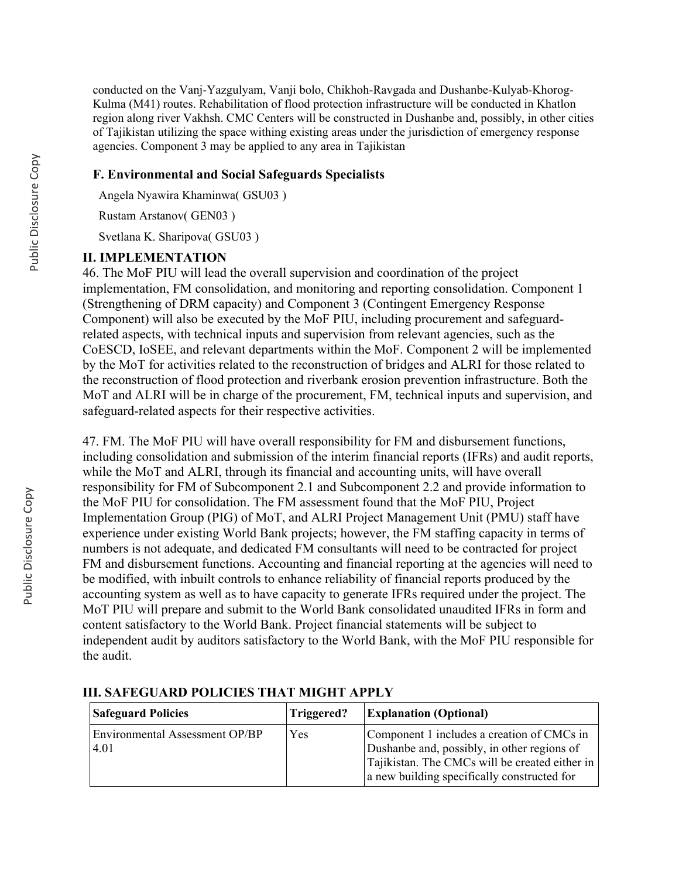conducted on the Vanj-Yazgulyam, Vanji bolo, Chikhoh-Ravgada and Dushanbe-Kulyab-Khorog-Kulma (M41) routes. Rehabilitation of flood protection infrastructure will be conducted in Khatlon region along river Vakhsh. CMC Centers will be constructed in Dushanbe and, possibly, in other cities of Tajikistan utilizing the space withing existing areas under the jurisdiction of emergency response agencies. Component 3 may be applied to any area in Tajikistan

## **F. Environmental and Social Safeguards Specialists**

Angela Nyawira Khaminwa( GSU03 )

Rustam Arstanov( GEN03 )

Svetlana K. Sharipova( GSU03 )

### **II. IMPLEMENTATION**

46. The MoF PIU will lead the overall supervision and coordination of the project implementation, FM consolidation, and monitoring and reporting consolidation. Component 1 (Strengthening of DRM capacity) and Component 3 (Contingent Emergency Response Component) will also be executed by the MoF PIU, including procurement and safeguardrelated aspects, with technical inputs and supervision from relevant agencies, such as the CoESCD, IoSEE, and relevant departments within the MoF. Component 2 will be implemented by the MoT for activities related to the reconstruction of bridges and ALRI for those related to the reconstruction of flood protection and riverbank erosion prevention infrastructure. Both the MoT and ALRI will be in charge of the procurement, FM, technical inputs and supervision, and safeguard-related aspects for their respective activities.

47. FM. The MoF PIU will have overall responsibility for FM and disbursement functions, including consolidation and submission of the interim financial reports (IFRs) and audit reports, while the MoT and ALRI, through its financial and accounting units, will have overall responsibility for FM of Subcomponent 2.1 and Subcomponent 2.2 and provide information to the MoF PIU for consolidation. The FM assessment found that the MoF PIU, Project Implementation Group (PIG) of MoT, and ALRI Project Management Unit (PMU) staff have experience under existing World Bank projects; however, the FM staffing capacity in terms of numbers is not adequate, and dedicated FM consultants will need to be contracted for project FM and disbursement functions. Accounting and financial reporting at the agencies will need to be modified, with inbuilt controls to enhance reliability of financial reports produced by the accounting system as well as to have capacity to generate IFRs required under the project. The MoT PIU will prepare and submit to the World Bank consolidated unaudited IFRs in form and content satisfactory to the World Bank. Project financial statements will be subject to independent audit by auditors satisfactory to the World Bank, with the MoF PIU responsible for the audit.

| <b>Safeguard Policies</b>      | Triggered? | <b>Explanation (Optional)</b>                  |
|--------------------------------|------------|------------------------------------------------|
| Environmental Assessment OP/BP | Yes        | Component 1 includes a creation of CMCs in     |
| 4.01                           |            | Dushanbe and, possibly, in other regions of    |
|                                |            | Tajikistan. The CMCs will be created either in |
|                                |            | a new building specifically constructed for    |

## **III. SAFEGUARD POLICIES THAT MIGHT APPLY**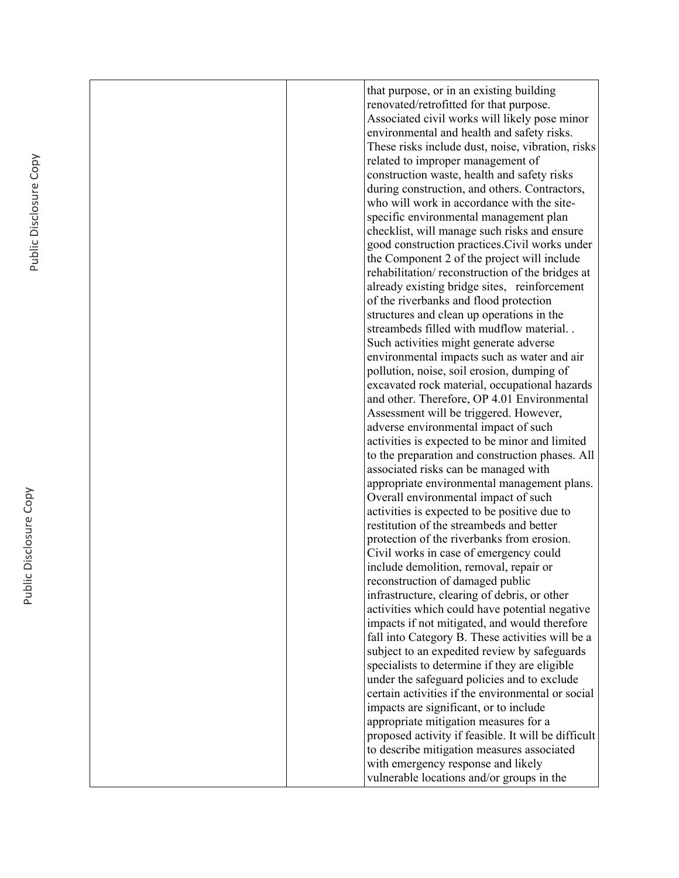|  | that purpose, or in an existing building                                            |
|--|-------------------------------------------------------------------------------------|
|  | renovated/retrofitted for that purpose.                                             |
|  | Associated civil works will likely pose minor                                       |
|  | environmental and health and safety risks.                                          |
|  | These risks include dust, noise, vibration, risks                                   |
|  | related to improper management of                                                   |
|  | construction waste, health and safety risks                                         |
|  | during construction, and others. Contractors,                                       |
|  | who will work in accordance with the site-                                          |
|  | specific environmental management plan                                              |
|  | checklist, will manage such risks and ensure                                        |
|  | good construction practices. Civil works under                                      |
|  | the Component 2 of the project will include                                         |
|  | rehabilitation/reconstruction of the bridges at                                     |
|  | already existing bridge sites, reinforcement                                        |
|  | of the riverbanks and flood protection                                              |
|  | structures and clean up operations in the                                           |
|  | streambeds filled with mudflow material                                             |
|  | Such activities might generate adverse                                              |
|  | environmental impacts such as water and air                                         |
|  | pollution, noise, soil erosion, dumping of                                          |
|  | excavated rock material, occupational hazards                                       |
|  | and other. Therefore, OP 4.01 Environmental                                         |
|  | Assessment will be triggered. However,                                              |
|  | adverse environmental impact of such                                                |
|  | activities is expected to be minor and limited                                      |
|  | to the preparation and construction phases. All                                     |
|  | associated risks can be managed with                                                |
|  | appropriate environmental management plans.<br>Overall environmental impact of such |
|  | activities is expected to be positive due to                                        |
|  | restitution of the streambeds and better                                            |
|  | protection of the riverbanks from erosion.                                          |
|  | Civil works in case of emergency could                                              |
|  | include demolition, removal, repair or                                              |
|  | reconstruction of damaged public                                                    |
|  | infrastructure, clearing of debris, or other                                        |
|  | activities which could have potential negative                                      |
|  | impacts if not mitigated, and would therefore                                       |
|  | fall into Category B. These activities will be a                                    |
|  | subject to an expedited review by safeguards                                        |
|  | specialists to determine if they are eligible                                       |
|  | under the safeguard policies and to exclude                                         |
|  | certain activities if the environmental or social                                   |
|  | impacts are significant, or to include                                              |
|  | appropriate mitigation measures for a                                               |
|  | proposed activity if feasible. It will be difficult                                 |
|  | to describe mitigation measures associated                                          |
|  | with emergency response and likely                                                  |
|  | vulnerable locations and/or groups in the                                           |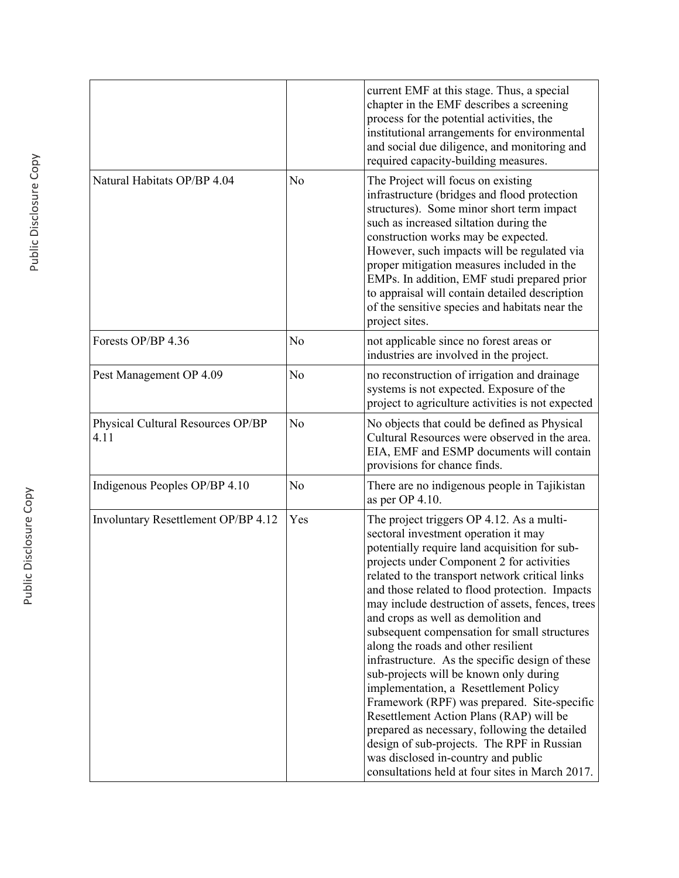|                                           |                | current EMF at this stage. Thus, a special<br>chapter in the EMF describes a screening<br>process for the potential activities, the<br>institutional arrangements for environmental<br>and social due diligence, and monitoring and<br>required capacity-building measures.                                                                                                                                                                                                                                                                                                                                                                                                                                                                                                                                                                                                                     |
|-------------------------------------------|----------------|-------------------------------------------------------------------------------------------------------------------------------------------------------------------------------------------------------------------------------------------------------------------------------------------------------------------------------------------------------------------------------------------------------------------------------------------------------------------------------------------------------------------------------------------------------------------------------------------------------------------------------------------------------------------------------------------------------------------------------------------------------------------------------------------------------------------------------------------------------------------------------------------------|
| Natural Habitats OP/BP 4.04               | N <sub>0</sub> | The Project will focus on existing<br>infrastructure (bridges and flood protection<br>structures). Some minor short term impact<br>such as increased siltation during the<br>construction works may be expected.<br>However, such impacts will be regulated via<br>proper mitigation measures included in the<br>EMPs. In addition, EMF studi prepared prior<br>to appraisal will contain detailed description<br>of the sensitive species and habitats near the<br>project sites.                                                                                                                                                                                                                                                                                                                                                                                                              |
| Forests OP/BP 4.36                        | No             | not applicable since no forest areas or<br>industries are involved in the project.                                                                                                                                                                                                                                                                                                                                                                                                                                                                                                                                                                                                                                                                                                                                                                                                              |
| Pest Management OP 4.09                   | No             | no reconstruction of irrigation and drainage<br>systems is not expected. Exposure of the<br>project to agriculture activities is not expected                                                                                                                                                                                                                                                                                                                                                                                                                                                                                                                                                                                                                                                                                                                                                   |
| Physical Cultural Resources OP/BP<br>4.11 | N <sub>0</sub> | No objects that could be defined as Physical<br>Cultural Resources were observed in the area.<br>EIA, EMF and ESMP documents will contain<br>provisions for chance finds.                                                                                                                                                                                                                                                                                                                                                                                                                                                                                                                                                                                                                                                                                                                       |
| Indigenous Peoples OP/BP 4.10             | No             | There are no indigenous people in Tajikistan<br>as per OP 4.10.                                                                                                                                                                                                                                                                                                                                                                                                                                                                                                                                                                                                                                                                                                                                                                                                                                 |
| Involuntary Resettlement OP/BP 4.12       | Yes            | The project triggers OP 4.12. As a multi-<br>sectoral investment operation it may<br>potentially require land acquisition for sub-<br>projects under Component 2 for activities<br>related to the transport network critical links<br>and those related to flood protection. Impacts<br>may include destruction of assets, fences, trees<br>and crops as well as demolition and<br>subsequent compensation for small structures<br>along the roads and other resilient<br>infrastructure. As the specific design of these<br>sub-projects will be known only during<br>implementation, a Resettlement Policy<br>Framework (RPF) was prepared. Site-specific<br>Resettlement Action Plans (RAP) will be<br>prepared as necessary, following the detailed<br>design of sub-projects. The RPF in Russian<br>was disclosed in-country and public<br>consultations held at four sites in March 2017. |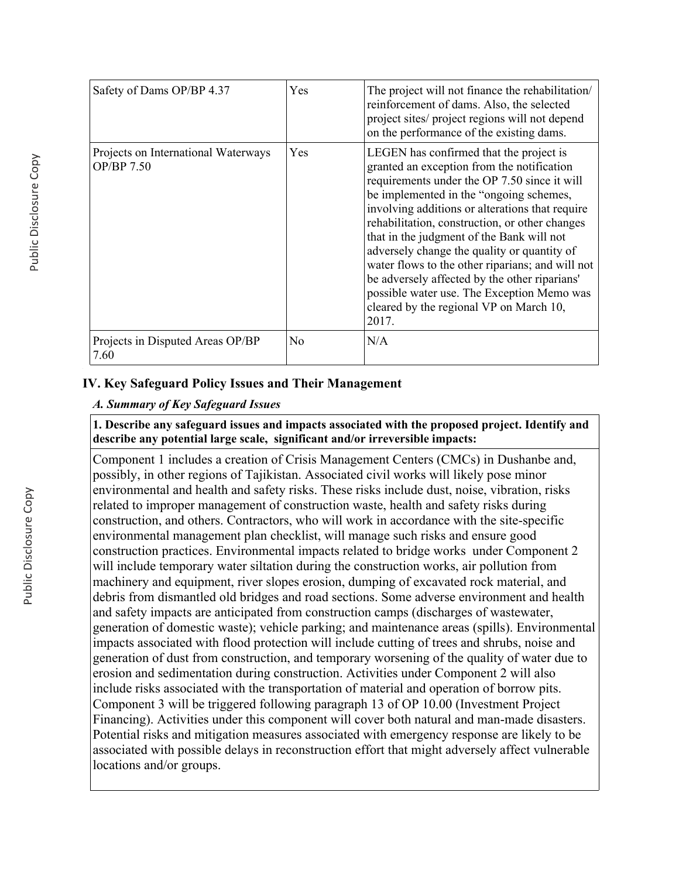| Safety of Dams OP/BP 4.37                         | Yes            | The project will not finance the rehabilitation<br>reinforcement of dams. Also, the selected<br>project sites/ project regions will not depend<br>on the performance of the existing dams.                                                                                                                                                                                                                                                                                                                                                                                               |
|---------------------------------------------------|----------------|------------------------------------------------------------------------------------------------------------------------------------------------------------------------------------------------------------------------------------------------------------------------------------------------------------------------------------------------------------------------------------------------------------------------------------------------------------------------------------------------------------------------------------------------------------------------------------------|
| Projects on International Waterways<br>OP/BP 7.50 | Yes            | LEGEN has confirmed that the project is<br>granted an exception from the notification<br>requirements under the OP 7.50 since it will<br>be implemented in the "ongoing schemes,<br>involving additions or alterations that require<br>rehabilitation, construction, or other changes<br>that in the judgment of the Bank will not<br>adversely change the quality or quantity of<br>water flows to the other riparians; and will not<br>be adversely affected by the other riparians'<br>possible water use. The Exception Memo was<br>cleared by the regional VP on March 10,<br>2017. |
| Projects in Disputed Areas OP/BP<br>7.60          | N <sub>0</sub> | N/A                                                                                                                                                                                                                                                                                                                                                                                                                                                                                                                                                                                      |

# **IV. Key Safeguard Policy Issues and Their Management**

## *A. Summary of Key Safeguard Issues*

## **1. Describe any safeguard issues and impacts associated with the proposed project. Identify and describe any potential large scale, significant and/or irreversible impacts:**

Component 1 includes a creation of Crisis Management Centers (CMCs) in Dushanbe and, possibly, in other regions of Tajikistan. Associated civil works will likely pose minor environmental and health and safety risks. These risks include dust, noise, vibration, risks related to improper management of construction waste, health and safety risks during construction, and others. Contractors, who will work in accordance with the site-specific environmental management plan checklist, will manage such risks and ensure good construction practices. Environmental impacts related to bridge works under Component 2 will include temporary water siltation during the construction works, air pollution from machinery and equipment, river slopes erosion, dumping of excavated rock material, and debris from dismantled old bridges and road sections. Some adverse environment and health and safety impacts are anticipated from construction camps (discharges of wastewater, generation of domestic waste); vehicle parking; and maintenance areas (spills). Environmental impacts associated with flood protection will include cutting of trees and shrubs, noise and generation of dust from construction, and temporary worsening of the quality of water due to erosion and sedimentation during construction. Activities under Component 2 will also include risks associated with the transportation of material and operation of borrow pits. Component 3 will be triggered following paragraph 13 of OP 10.00 (Investment Project Financing). Activities under this component will cover both natural and man-made disasters. Potential risks and mitigation measures associated with emergency response are likely to be associated with possible delays in reconstruction effort that might adversely affect vulnerable locations and/or groups.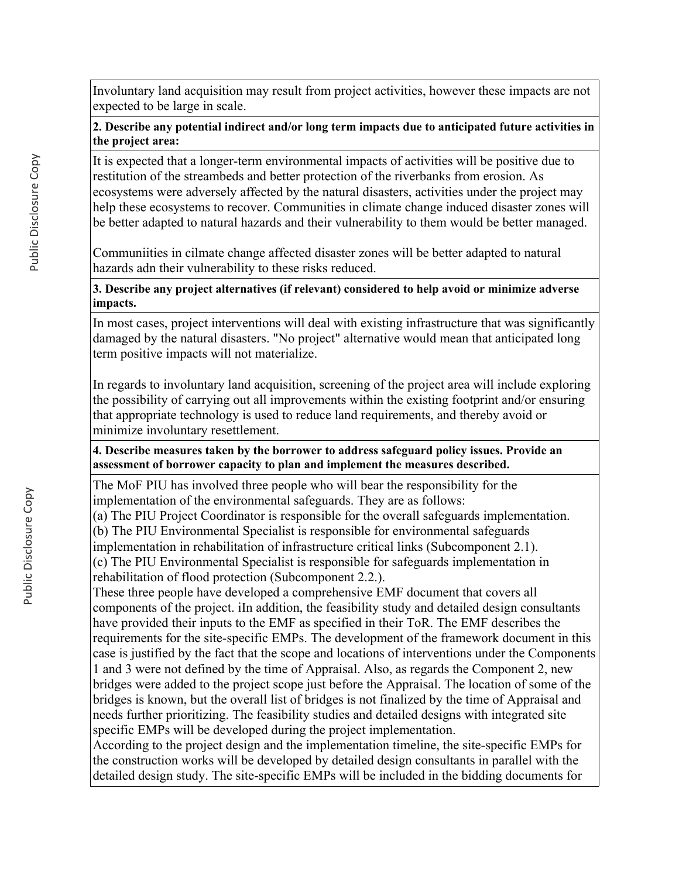Involuntary land acquisition may result from project activities, however these impacts are not expected to be large in scale.

**2. Describe any potential indirect and/or long term impacts due to anticipated future activities in the project area:**

It is expected that a longer-term environmental impacts of activities will be positive due to restitution of the streambeds and better protection of the riverbanks from erosion. As ecosystems were adversely affected by the natural disasters, activities under the project may help these ecosystems to recover. Communities in climate change induced disaster zones will be better adapted to natural hazards and their vulnerability to them would be better managed.

Communiities in cilmate change affected disaster zones will be better adapted to natural hazards adn their vulnerability to these risks reduced.

**3. Describe any project alternatives (if relevant) considered to help avoid or minimize adverse impacts.**

In most cases, project interventions will deal with existing infrastructure that was significantly damaged by the natural disasters. "No project" alternative would mean that anticipated long term positive impacts will not materialize.

In regards to involuntary land acquisition, screening of the project area will include exploring the possibility of carrying out all improvements within the existing footprint and/or ensuring that appropriate technology is used to reduce land requirements, and thereby avoid or minimize involuntary resettlement.

**4. Describe measures taken by the borrower to address safeguard policy issues. Provide an assessment of borrower capacity to plan and implement the measures described.**

The MoF PIU has involved three people who will bear the responsibility for the implementation of the environmental safeguards. They are as follows:

(a) The PIU Project Coordinator is responsible for the overall safeguards implementation.

(b) The PIU Environmental Specialist is responsible for environmental safeguards

implementation in rehabilitation of infrastructure critical links (Subcomponent 2.1).

(c) The PIU Environmental Specialist is responsible for safeguards implementation in rehabilitation of flood protection (Subcomponent 2.2.).

These three people have developed a comprehensive EMF document that covers all components of the project. iIn addition, the feasibility study and detailed design consultants have provided their inputs to the EMF as specified in their ToR. The EMF describes the requirements for the site-specific EMPs. The development of the framework document in this case is justified by the fact that the scope and locations of interventions under the Components 1 and 3 were not defined by the time of Appraisal. Also, as regards the Component 2, new bridges were added to the project scope just before the Appraisal. The location of some of the bridges is known, but the overall list of bridges is not finalized by the time of Appraisal and needs further prioritizing. The feasibility studies and detailed designs with integrated site specific EMPs will be developed during the project implementation.

According to the project design and the implementation timeline, the site-specific EMPs for the construction works will be developed by detailed design consultants in parallel with the detailed design study. The site-specific EMPs will be included in the bidding documents for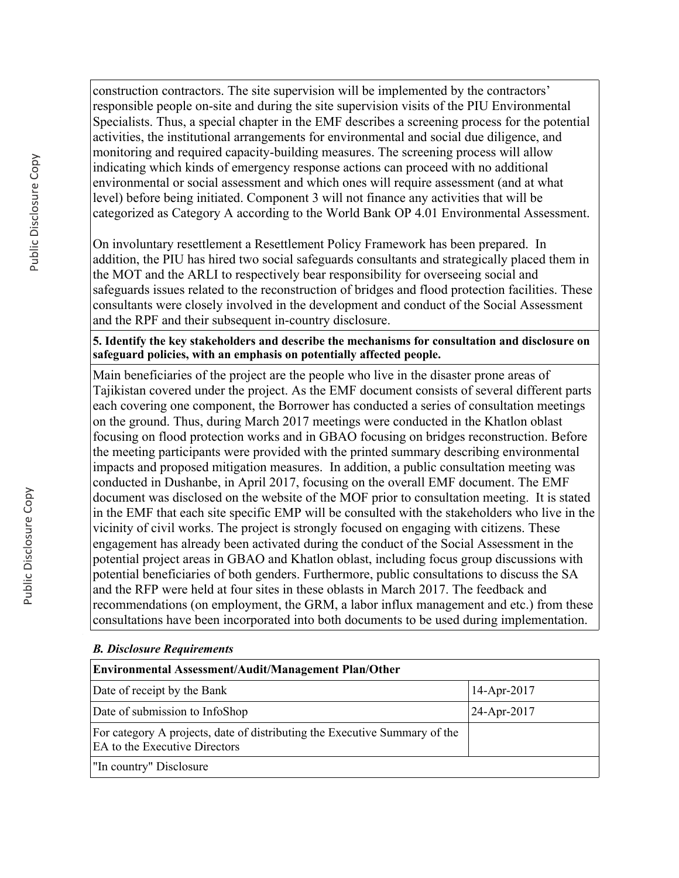construction contractors. The site supervision will be implemented by the contractors' responsible people on-site and during the site supervision visits of the PIU Environmental Specialists. Thus, a special chapter in the EMF describes a screening process for the potential activities, the institutional arrangements for environmental and social due diligence, and monitoring and required capacity-building measures. The screening process will allow indicating which kinds of emergency response actions can proceed with no additional environmental or social assessment and which ones will require assessment (and at what level) before being initiated. Component 3 will not finance any activities that will be categorized as Category A according to the World Bank OP 4.01 Environmental Assessment.

On involuntary resettlement a Resettlement Policy Framework has been prepared. In addition, the PIU has hired two social safeguards consultants and strategically placed them in the MOT and the ARLI to respectively bear responsibility for overseeing social and safeguards issues related to the reconstruction of bridges and flood protection facilities. These consultants were closely involved in the development and conduct of the Social Assessment and the RPF and their subsequent in-country disclosure.

## **5. Identify the key stakeholders and describe the mechanisms for consultation and disclosure on safeguard policies, with an emphasis on potentially affected people.**

Main beneficiaries of the project are the people who live in the disaster prone areas of Tajikistan covered under the project. As the EMF document consists of several different parts each covering one component, the Borrower has conducted a series of consultation meetings on the ground. Thus, during March 2017 meetings were conducted in the Khatlon oblast focusing on flood protection works and in GBAO focusing on bridges reconstruction. Before the meeting participants were provided with the printed summary describing environmental impacts and proposed mitigation measures. In addition, a public consultation meeting was conducted in Dushanbe, in April 2017, focusing on the overall EMF document. The EMF document was disclosed on the website of the MOF prior to consultation meeting. It is stated in the EMF that each site specific EMP will be consulted with the stakeholders who live in the vicinity of civil works. The project is strongly focused on engaging with citizens. These engagement has already been activated during the conduct of the Social Assessment in the potential project areas in GBAO and Khatlon oblast, including focus group discussions with potential beneficiaries of both genders. Furthermore, public consultations to discuss the SA and the RFP were held at four sites in these oblasts in March 2017. The feedback and recommendations (on employment, the GRM, a labor influx management and etc.) from these consultations have been incorporated into both documents to be used during implementation.

### *B. Disclosure Requirements*

| <b>Environmental Assessment/Audit/Management Plan/Other</b>                                                 |               |  |  |  |
|-------------------------------------------------------------------------------------------------------------|---------------|--|--|--|
| Date of receipt by the Bank                                                                                 | $14-Apr-2017$ |  |  |  |
| Date of submission to InfoShop                                                                              | $24-Apr-2017$ |  |  |  |
| For category A projects, date of distributing the Executive Summary of the<br>EA to the Executive Directors |               |  |  |  |
| "In country" Disclosure                                                                                     |               |  |  |  |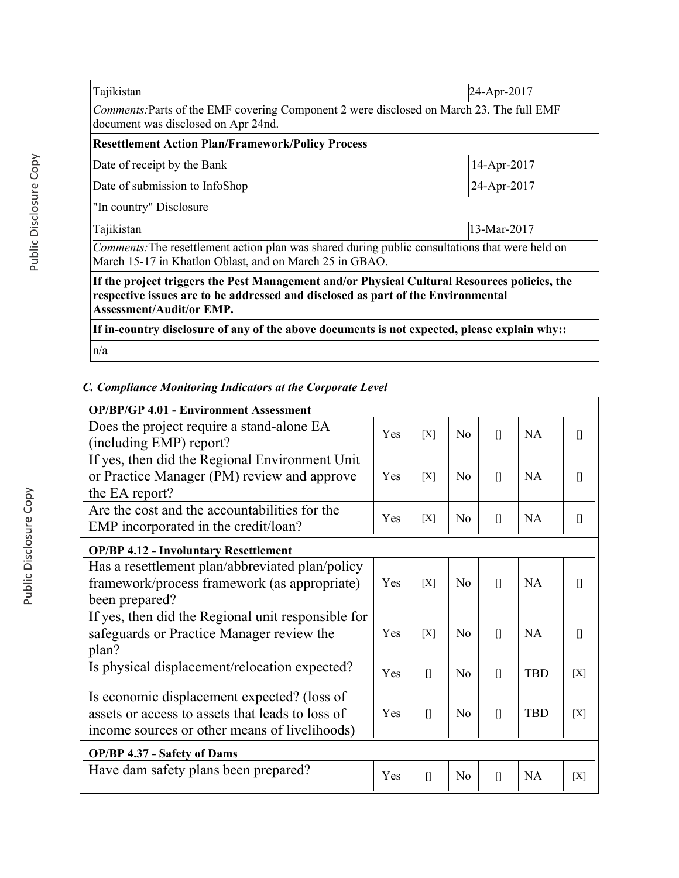| Tajikistan                                                                                                                                                                                                          | 24-Apr-2017 |  |
|---------------------------------------------------------------------------------------------------------------------------------------------------------------------------------------------------------------------|-------------|--|
| Comments: Parts of the EMF covering Component 2 were disclosed on March 23. The full EMF<br>document was disclosed on Apr 24nd.                                                                                     |             |  |
| <b>Resettlement Action Plan/Framework/Policy Process</b>                                                                                                                                                            |             |  |
| Date of receipt by the Bank                                                                                                                                                                                         | 14-Apr-2017 |  |
| Date of submission to InfoShop                                                                                                                                                                                      | 24-Apr-2017 |  |
| "In country" Disclosure                                                                                                                                                                                             |             |  |
| Tajikistan                                                                                                                                                                                                          | 13-Mar-2017 |  |
| <i>Comments:</i> The resettlement action plan was shared during public consultations that were held on<br>March 15-17 in Khatlon Oblast, and on March 25 in GBAO.                                                   |             |  |
| If the project triggers the Pest Management and/or Physical Cultural Resources policies, the<br>respective issues are to be addressed and disclosed as part of the Environmental<br><b>Assessment/Audit/or EMP.</b> |             |  |
| If in-country disclosure of any of the above documents is not expected, please explain why::                                                                                                                        |             |  |

n/a

# *C. Compliance Monitoring Indicators at the Corporate Level*

| <b>OP/BP/GP 4.01 - Environment Assessment</b>                        |     |              |                |              |            |              |
|----------------------------------------------------------------------|-----|--------------|----------------|--------------|------------|--------------|
| Does the project require a stand-alone EA<br>(including EMP) report? |     | [X]          | N <sub>0</sub> | $\mathsf{L}$ | NA         | $\mathbb{I}$ |
| If yes, then did the Regional Environment Unit                       |     |              |                |              |            |              |
| or Practice Manager (PM) review and approve                          | Yes | [X]          | N <sub>0</sub> | $\mathbb{I}$ | <b>NA</b>  | П            |
| the EA report?                                                       |     |              |                |              |            |              |
| Are the cost and the accountabilities for the                        | Yes | [X]          | N <sub>o</sub> | $\prod$      | <b>NA</b>  | П            |
| EMP incorporated in the credit/loan?                                 |     |              |                |              |            |              |
| <b>OP/BP 4.12 - Involuntary Resettlement</b>                         |     |              |                |              |            |              |
| Has a resettlement plan/abbreviated plan/policy                      |     |              |                |              |            |              |
| framework/process framework (as appropriate)                         | Yes | [X]          | N <sub>0</sub> | $\prod$      | NA         | Ш            |
| been prepared?                                                       |     |              |                |              |            |              |
| If yes, then did the Regional unit responsible for                   |     |              |                |              |            |              |
| safeguards or Practice Manager review the                            | Yes | [X]          | N <sub>0</sub> | $\mathbf{u}$ | NA         | n            |
| plan?                                                                |     |              |                |              |            |              |
| Is physical displacement/relocation expected?                        | Yes | $\prod$      | No             | $\prod$      | <b>TBD</b> | [X]          |
| Is economic displacement expected? (loss of                          |     |              |                |              |            |              |
| assets or access to assets that leads to loss of                     | Yes | $\prod$      | $\overline{N}$ | $\prod$      | <b>TBD</b> | [X]          |
| income sources or other means of livelihoods)                        |     |              |                |              |            |              |
| OP/BP 4.37 - Safety of Dams                                          |     |              |                |              |            |              |
| Have dam safety plans been prepared?                                 | Yes | $\mathbf{I}$ | N <sub>0</sub> | $\prod$      | <b>NA</b>  | [X]          |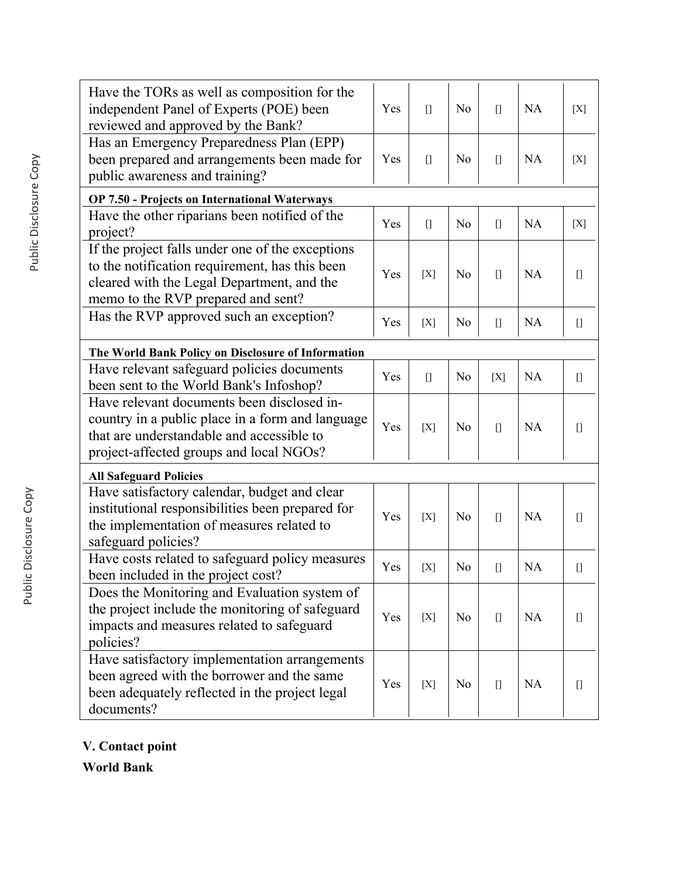| Have the TORs as well as composition for the<br>independent Panel of Experts (POE) been<br>reviewed and approved by the Bank?                                                          | Yes | $[$     | N <sub>o</sub> | $[$                                                                                                                                                                                                                                                                                                                                                                  | <b>NA</b> | [X]                                                                                                                                                                                                                                                                                                                                                                  |
|----------------------------------------------------------------------------------------------------------------------------------------------------------------------------------------|-----|---------|----------------|----------------------------------------------------------------------------------------------------------------------------------------------------------------------------------------------------------------------------------------------------------------------------------------------------------------------------------------------------------------------|-----------|----------------------------------------------------------------------------------------------------------------------------------------------------------------------------------------------------------------------------------------------------------------------------------------------------------------------------------------------------------------------|
| Has an Emergency Preparedness Plan (EPP)<br>been prepared and arrangements been made for<br>public awareness and training?                                                             | Yes | $[$     | N <sub>0</sub> | $[$                                                                                                                                                                                                                                                                                                                                                                  | NA        | [X]                                                                                                                                                                                                                                                                                                                                                                  |
| <b>OP 7.50 - Projects on International Waterways</b>                                                                                                                                   |     |         |                |                                                                                                                                                                                                                                                                                                                                                                      |           |                                                                                                                                                                                                                                                                                                                                                                      |
| Have the other riparians been notified of the<br>project?                                                                                                                              | Yes | $[$     | N <sub>0</sub> | $\begin{bmatrix} 1 \end{bmatrix}$                                                                                                                                                                                                                                                                                                                                    | <b>NA</b> | [X]                                                                                                                                                                                                                                                                                                                                                                  |
| If the project falls under one of the exceptions<br>to the notification requirement, has this been<br>cleared with the Legal Department, and the<br>memo to the RVP prepared and sent? | Yes | [X]     | N <sub>o</sub> | $[$                                                                                                                                                                                                                                                                                                                                                                  | NA        | O                                                                                                                                                                                                                                                                                                                                                                    |
| Has the RVP approved such an exception?                                                                                                                                                | Yes | [X]     | N <sub>0</sub> | $[] \centering \includegraphics[width=0.47\textwidth]{images/TransY_1.png} \caption{The first two different values of $100$ K, $100$ K, $100$ K, $100$ K, $100$ K, $100$ K, $100$ K, $100$ K, $100$ K, $100$ K, $100$ K, $100$ K, $100$ K, $100$ K, $100$ K, $100$ K, $100$ K, $100$ K, $100$ K, $100$ K, $100$ K, $100$ K, $100$ K, $100$ K, $100$ K, $100$ K, $10$ | <b>NA</b> |                                                                                                                                                                                                                                                                                                                                                                      |
| The World Bank Policy on Disclosure of Information                                                                                                                                     |     |         |                |                                                                                                                                                                                                                                                                                                                                                                      |           |                                                                                                                                                                                                                                                                                                                                                                      |
| Have relevant safeguard policies documents<br>been sent to the World Bank's Infoshop?                                                                                                  | Yes | $\prod$ | N <sub>o</sub> | [X]                                                                                                                                                                                                                                                                                                                                                                  | <b>NA</b> | $[] \centering \includegraphics[width=0.47\textwidth]{images/TransY_1.png} \caption{The first two different values of $100$ K, $100$ K, $100$ K, $100$ K, $100$ K, $100$ K, $100$ K, $100$ K, $100$ K, $100$ K, $100$ K, $100$ K, $100$ K, $100$ K, $100$ K, $100$ K, $100$ K, $100$ K, $100$ K, $100$ K, $100$ K, $100$ K, $100$ K, $100$ K, $100$ K, $100$ K, $10$ |
| Have relevant documents been disclosed in-<br>country in a public place in a form and language<br>that are understandable and accessible to<br>project-affected groups and local NGOs? | Yes | [X]     | N <sub>0</sub> | $[$                                                                                                                                                                                                                                                                                                                                                                  | <b>NA</b> | $[]$                                                                                                                                                                                                                                                                                                                                                                 |
| <b>All Safeguard Policies</b>                                                                                                                                                          |     |         |                |                                                                                                                                                                                                                                                                                                                                                                      |           |                                                                                                                                                                                                                                                                                                                                                                      |
| Have satisfactory calendar, budget and clear<br>institutional responsibilities been prepared for<br>the implementation of measures related to<br>safeguard policies?                   | Yes | [X]     | N <sub>0</sub> | $\prod$                                                                                                                                                                                                                                                                                                                                                              | <b>NA</b> |                                                                                                                                                                                                                                                                                                                                                                      |
| Have costs related to safeguard policy measures<br>been included in the project cost?                                                                                                  | Yes | [X]     | N <sub>0</sub> | $[$                                                                                                                                                                                                                                                                                                                                                                  | <b>NA</b> |                                                                                                                                                                                                                                                                                                                                                                      |
| Does the Monitoring and Evaluation system of<br>the project include the monitoring of safeguard<br>impacts and measures related to safeguard<br>policies?                              | Yes | [X]     | N <sub>o</sub> | $[$                                                                                                                                                                                                                                                                                                                                                                  | <b>NA</b> | O                                                                                                                                                                                                                                                                                                                                                                    |
| Have satisfactory implementation arrangements<br>been agreed with the borrower and the same<br>been adequately reflected in the project legal<br>documents?                            | Yes | [X]     | N <sub>0</sub> | $[] \centering \includegraphics[width=0.47\textwidth]{images/TransY_1.png} \caption{The first two different values of $100$ K, $100$ K, $100$ K, $100$ K, $100$ K, $100$ K, $100$ K, $100$ K, $100$ K, $100$ K, $100$ K, $100$ K, $100$ K, $100$ K, $100$ K, $100$ K, $100$ K, $100$ K, $100$ K, $100$ K, $100$ K, $100$ K, $100$ K, $100$ K, $100$ K, $100$ K, $10$ | <b>NA</b> | П                                                                                                                                                                                                                                                                                                                                                                    |

**V. Contact point**

**World Bank**